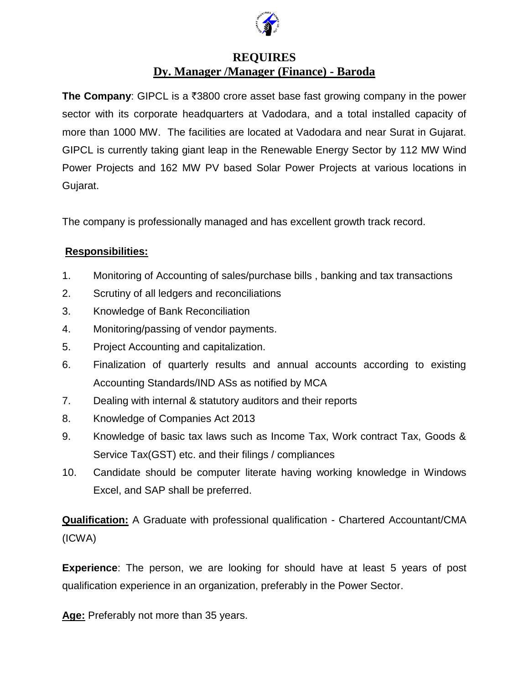

# **REQUIRES Dy. Manager /Manager (Finance) - Baroda**

**The Company:** GIPCL is a  $\bar{x}$ 3800 crore asset base fast growing company in the power sector with its corporate headquarters at Vadodara, and a total installed capacity of more than 1000 MW. The facilities are located at Vadodara and near Surat in Gujarat. GIPCL is currently taking giant leap in the Renewable Energy Sector by 112 MW Wind Power Projects and 162 MW PV based Solar Power Projects at various locations in Gujarat.

The company is professionally managed and has excellent growth track record.

## **Responsibilities:**

- 1. Monitoring of Accounting of sales/purchase bills , banking and tax transactions
- 2. Scrutiny of all ledgers and reconciliations
- 3. Knowledge of Bank Reconciliation
- 4. Monitoring/passing of vendor payments.
- 5. Project Accounting and capitalization.
- 6. Finalization of quarterly results and annual accounts according to existing Accounting Standards/IND ASs as notified by MCA
- 7. Dealing with internal & statutory auditors and their reports
- 8. Knowledge of Companies Act 2013
- 9. Knowledge of basic tax laws such as Income Tax, Work contract Tax, Goods & Service Tax(GST) etc. and their filings / compliances
- 10. Candidate should be computer literate having working knowledge in Windows Excel, and SAP shall be preferred.

**Qualification:** A Graduate with professional qualification - Chartered Accountant/CMA (ICWA)

**Experience**: The person, we are looking for should have at least 5 years of post qualification experience in an organization, preferably in the Power Sector.

**Age:** Preferably not more than 35 years.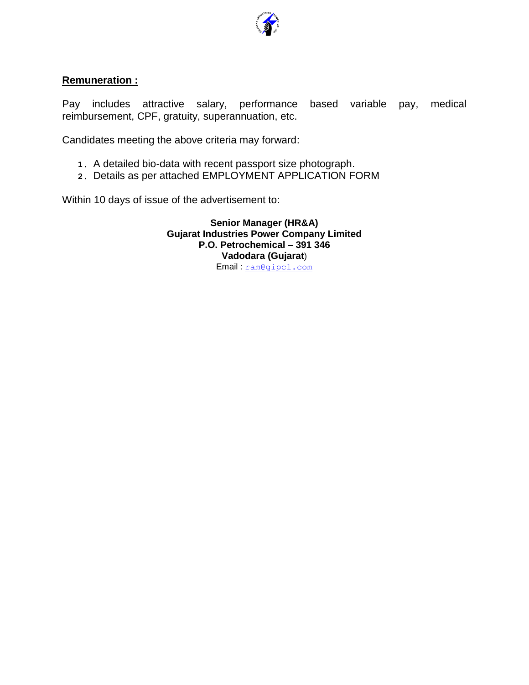

### **Remuneration :**

Pay includes attractive salary, performance based variable pay, medical reimbursement, CPF, gratuity, superannuation, etc.

Candidates meeting the above criteria may forward:

- **1.** A detailed bio-data with recent passport size photograph.
- **2.** Details as per attached EMPLOYMENT APPLICATION FORM

Within 10 days of issue of the advertisement to:

**Senior Manager (HR&A) Gujarat Industries Power Company Limited P.O. Petrochemical – 391 346 Vadodara (Gujarat**) Email : [ram@gipcl.com](mailto:ram@gipcl.com)